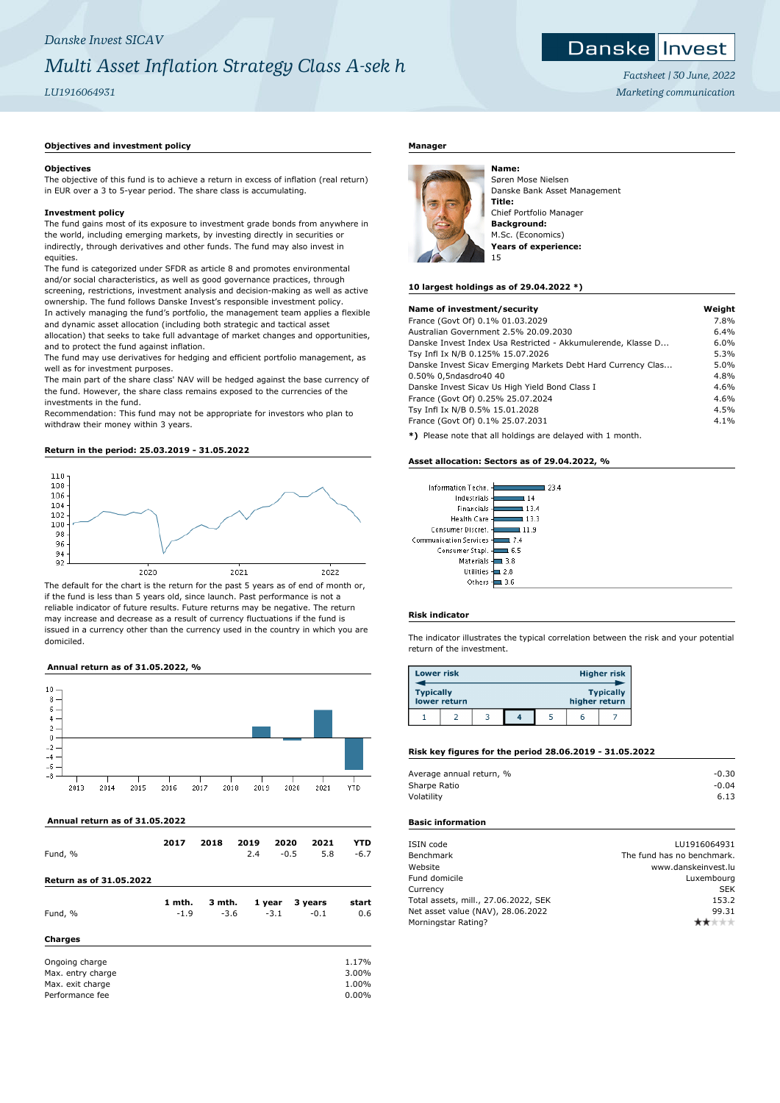## *Danske Invest SICAV Multi Asset Inflation Strategy Class A-sek h*

### *LU1916064931*

#### **Objectives**

The objective of this fund is to achieve a return in excess of inflation (real return) in EUR over a 3 to 5-year period. The share class is accumulating.

#### **Investment policy**

**Objectives and investment policy**

The fund gains most of its exposure to investment grade bonds from anywhere in the world, including emerging markets, by investing directly in securities or indirectly, through derivatives and other funds. The fund may also invest in equities.

The fund is categorized under SFDR as article 8 and promotes environmental and/or social characteristics, as well as good governance practices, through screening, restrictions, investment analysis and decision-making as well as active ownership. The fund follows Danske Invest's responsible investment policy. In actively managing the fund's portfolio, the management team applies a flexible and dynamic asset allocation (including both strategic and tactical asset

allocation) that seeks to take full advantage of market changes and opportunities, and to protect the fund against inflation.

The fund may use derivatives for hedging and efficient portfolio management, as well as for investment purposes.

The main part of the share class' NAV will be hedged against the base currency of the fund. However, the share class remains exposed to the currencies of the investments in the fund.

Recommendation: This fund may not be appropriate for investors who plan to withdraw their money within 3 years.

#### **Return in the period: 25.03.2019 - 31.05.2022**



The default for the chart is the return for the past 5 years as of end of month or, if the fund is less than 5 years old, since launch. Past performance is not a reliable indicator of future results. Future returns may be negative. The return may increase and decrease as a result of currency fluctuations if the fund is issued in a currency other than the currency used in the country in which you are domiciled.

#### **Annual return as of 31.05.2022, %**



 **Annual return as of 31.05.2022**

| Fund, %                 | 2017   | 2018   | 2019<br>2.4 | 2020<br>$-0.5$ | 2021<br>5.8 | <b>YTD</b><br>$-6.7$ |
|-------------------------|--------|--------|-------------|----------------|-------------|----------------------|
| Return as of 31.05.2022 |        |        |             |                |             |                      |
|                         | 1 mth. | 3 mth. |             | 1 year         | 3 years     | start                |
| Fund, %                 | $-1.9$ | $-3.6$ |             | $-3.1$         | $-0.1$      | 0.6                  |
| Charges                 |        |        |             |                |             |                      |
| Ongoing charge          |        |        |             |                |             | 1.17%                |
| Max. entry charge       |        |        |             |                |             | 3.00%                |
| Max. exit charge        |        |        |             |                |             | 1.00%                |
| Performance fee         |        |        |             |                |             | $0.00\%$             |

#### **Manager**



Søren Mose Nielsen Danske Bank Asset Management **Title:** Chief Portfolio Manager **Background:** M.Sc. (Economics) **Years of experience:** 15

#### **10 largest holdings as of 29.04.2022 \*)**

| Name of investment/security                                         | Weight |
|---------------------------------------------------------------------|--------|
|                                                                     |        |
| France (Govt Of) 0.1% 01.03.2029                                    | 7.8%   |
| Australian Government 2.5% 20.09.2030                               | 6.4%   |
| Danske Invest Index Usa Restricted - Akkumulerende, Klasse D        | 6.0%   |
| Tsy Infl Ix N/B 0.125% 15.07.2026                                   | 5.3%   |
| Danske Invest Sicav Emerging Markets Debt Hard Currency Clas        | 5.0%   |
| 0.50% 0,5ndasdro40 40                                               | 4.8%   |
| Danske Invest Sicav Us High Yield Bond Class I                      | 4.6%   |
| France (Govt Of) 0.25% 25.07.2024                                   | 4.6%   |
| Tsy Infl Ix N/B 0.5% 15.01.2028                                     | 4.5%   |
| France (Govt Of) 0.1% 25.07.2031                                    | 4.1%   |
| AN INTERNATIONAL ARRANGEMENT DESIGNATION AND ARRANGEMENT CONTRACTOR |        |

**\*)** Please note that all holdings are delayed with 1 month.

#### **Asset allocation: Sectors as of 29.04.2022, %**

| Information Techn.<br>23.4     |
|--------------------------------|
| Industrials<br>14              |
| Financials<br>13.4             |
| Health Care<br>133             |
| Consumer Discret.<br>1.9       |
| Communication Services -<br>74 |
| Consumer Stapl.<br>6.5         |
| Materials<br>3.8               |
| <b>Utilities</b><br>2.8        |
| Others                         |

#### **Risk indicator**

The indicator illustrates the typical correlation between the risk and your potential return of the investment.

| <b>Lower risk</b> |              |  |               | Higher risk      |
|-------------------|--------------|--|---------------|------------------|
| <b>Typically</b>  | lower return |  | higher return | <b>Typically</b> |
|                   |              |  | h             |                  |

#### **Risk key figures for the period 28.06.2019 - 31.05.2022**

| Average annual return, % | $-0.30$ |
|--------------------------|---------|
| Sharpe Ratio             | $-0.04$ |
| Volatility               | 6.13    |
|                          |         |

#### **Basic information**

| ISIN code                            | LU1916064931               |
|--------------------------------------|----------------------------|
| Benchmark                            | The fund has no benchmark. |
| Website                              | www.danskeinvest.lu        |
| Fund domicile                        | Luxembourg                 |
| Currency                             | <b>SEK</b>                 |
| Total assets, mill., 27.06.2022, SEK | 153.2                      |
| Net asset value (NAV), 28.06.2022    | 99.31                      |
| Morningstar Rating?                  |                            |
|                                      |                            |

*Factsheet | 30 June, 2022 Marketing communication*

Danske Invest